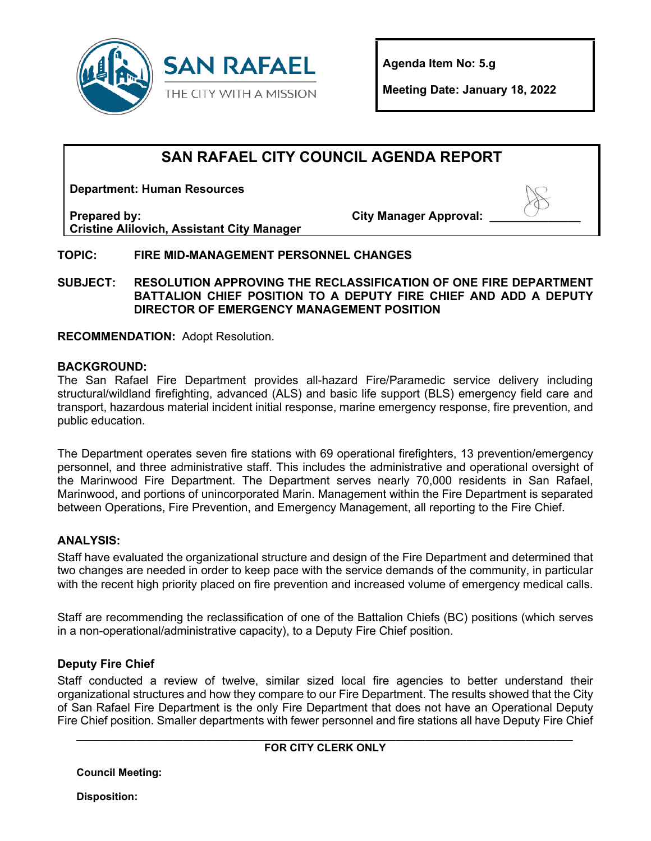

**Agenda Item No: 5.g**

**Meeting Date: January 18, 2022** 

# **SAN RAFAEL CITY COUNCIL AGENDA REPORT**

**Department: Human Resources**

**Prepared by: Cristine Alilovich, Assistant City Manager** **City Manager Approval:** 



## **TOPIC: FIRE MID-MANAGEMENT PERSONNEL CHANGES**

**SUBJECT: RESOLUTION APPROVING THE RECLASSIFICATION OF ONE FIRE DEPARTMENT BATTALION CHIEF POSITION TO A DEPUTY FIRE CHIEF AND ADD A DEPUTY DIRECTOR OF EMERGENCY MANAGEMENT POSITION**

**RECOMMENDATION:** Adopt Resolution.

#### **BACKGROUND:**

The San Rafael Fire Department provides all-hazard Fire/Paramedic service delivery including structural/wildland firefighting, advanced (ALS) and basic life support (BLS) emergency field care and transport, hazardous material incident initial response, marine emergency response, fire prevention, and public education.

The Department operates seven fire stations with 69 operational firefighters, 13 prevention/emergency personnel, and three administrative staff. This includes the administrative and operational oversight of the Marinwood Fire Department. The Department serves nearly 70,000 residents in San Rafael, Marinwood, and portions of unincorporated Marin. Management within the Fire Department is separated between Operations, Fire Prevention, and Emergency Management, all reporting to the Fire Chief.

## **ANALYSIS:**

Staff have evaluated the organizational structure and design of the Fire Department and determined that two changes are needed in order to keep pace with the service demands of the community, in particular with the recent high priority placed on fire prevention and increased volume of emergency medical calls.

Staff are recommending the reclassification of one of the Battalion Chiefs (BC) positions (which serves in a non-operational/administrative capacity), to a Deputy Fire Chief position.

## **Deputy Fire Chief**

Staff conducted a review of twelve, similar sized local fire agencies to better understand their organizational structures and how they compare to our Fire Department. The results showed that the City of San Rafael Fire Department is the only Fire Department that does not have an Operational Deputy Fire Chief position. Smaller departments with fewer personnel and fire stations all have Deputy Fire Chief

#### **\_\_\_\_\_\_\_\_\_\_\_\_\_\_\_\_\_\_\_\_\_\_\_\_\_\_\_\_\_\_\_\_\_\_\_\_\_\_\_\_\_\_\_\_\_\_\_\_\_\_\_\_\_\_\_\_\_\_\_\_\_\_\_\_\_\_\_\_\_\_\_\_\_\_\_\_\_\_\_\_\_\_\_\_ FOR CITY CLERK ONLY**

**Council Meeting:** 

**Disposition:**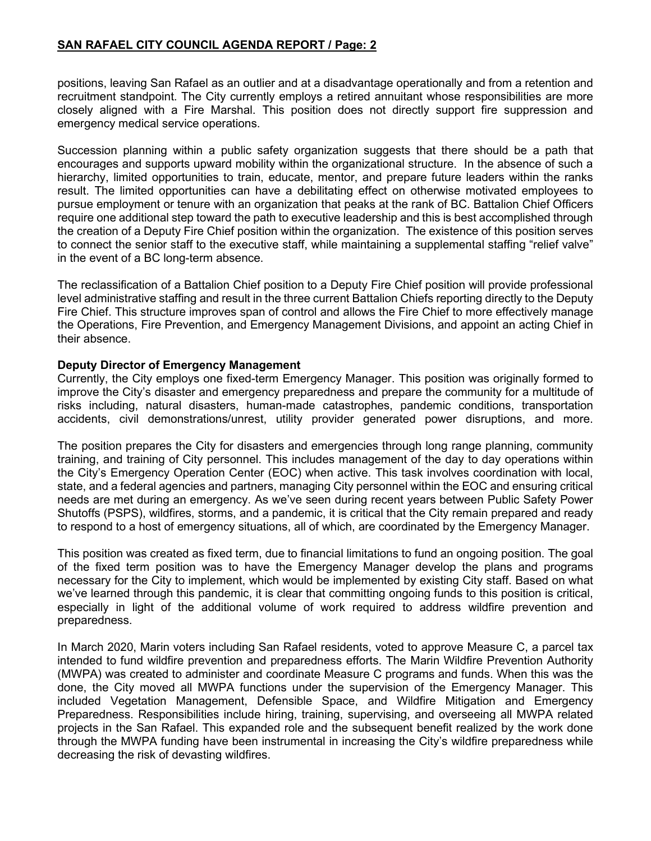#### **SAN RAFAEL CITY COUNCIL AGENDA REPORT / Page: 2**

positions, leaving San Rafael as an outlier and at a disadvantage operationally and from a retention and recruitment standpoint. The City currently employs a retired annuitant whose responsibilities are more closely aligned with a Fire Marshal. This position does not directly support fire suppression and emergency medical service operations.

Succession planning within a public safety organization suggests that there should be a path that encourages and supports upward mobility within the organizational structure. In the absence of such a hierarchy, limited opportunities to train, educate, mentor, and prepare future leaders within the ranks result. The limited opportunities can have a debilitating effect on otherwise motivated employees to pursue employment or tenure with an organization that peaks at the rank of BC. Battalion Chief Officers require one additional step toward the path to executive leadership and this is best accomplished through the creation of a Deputy Fire Chief position within the organization. The existence of this position serves to connect the senior staff to the executive staff, while maintaining a supplemental staffing "relief valve" in the event of a BC long-term absence.

The reclassification of a Battalion Chief position to a Deputy Fire Chief position will provide professional level administrative staffing and result in the three current Battalion Chiefs reporting directly to the Deputy Fire Chief. This structure improves span of control and allows the Fire Chief to more effectively manage the Operations, Fire Prevention, and Emergency Management Divisions, and appoint an acting Chief in their absence.

#### **Deputy Director of Emergency Management**

Currently, the City employs one fixed-term Emergency Manager. This position was originally formed to improve the City's disaster and emergency preparedness and prepare the community for a multitude of risks including, natural disasters, human-made catastrophes, pandemic conditions, transportation accidents, civil demonstrations/unrest, utility provider generated power disruptions, and more.

The position prepares the City for disasters and emergencies through long range planning, community training, and training of City personnel. This includes management of the day to day operations within the City's Emergency Operation Center (EOC) when active. This task involves coordination with local, state, and a federal agencies and partners, managing City personnel within the EOC and ensuring critical needs are met during an emergency. As we've seen during recent years between Public Safety Power Shutoffs (PSPS), wildfires, storms, and a pandemic, it is critical that the City remain prepared and ready to respond to a host of emergency situations, all of which, are coordinated by the Emergency Manager.

This position was created as fixed term, due to financial limitations to fund an ongoing position. The goal of the fixed term position was to have the Emergency Manager develop the plans and programs necessary for the City to implement, which would be implemented by existing City staff. Based on what we've learned through this pandemic, it is clear that committing ongoing funds to this position is critical, especially in light of the additional volume of work required to address wildfire prevention and preparedness.

In March 2020, Marin voters including San Rafael residents, voted to approve Measure C, a parcel tax intended to fund wildfire prevention and preparedness efforts. The Marin Wildfire Prevention Authority (MWPA) was created to administer and coordinate Measure C programs and funds. When this was the done, the City moved all MWPA functions under the supervision of the Emergency Manager. This included Vegetation Management, Defensible Space, and Wildfire Mitigation and Emergency Preparedness. Responsibilities include hiring, training, supervising, and overseeing all MWPA related projects in the San Rafael. This expanded role and the subsequent benefit realized by the work done through the MWPA funding have been instrumental in increasing the City's wildfire preparedness while decreasing the risk of devasting wildfires.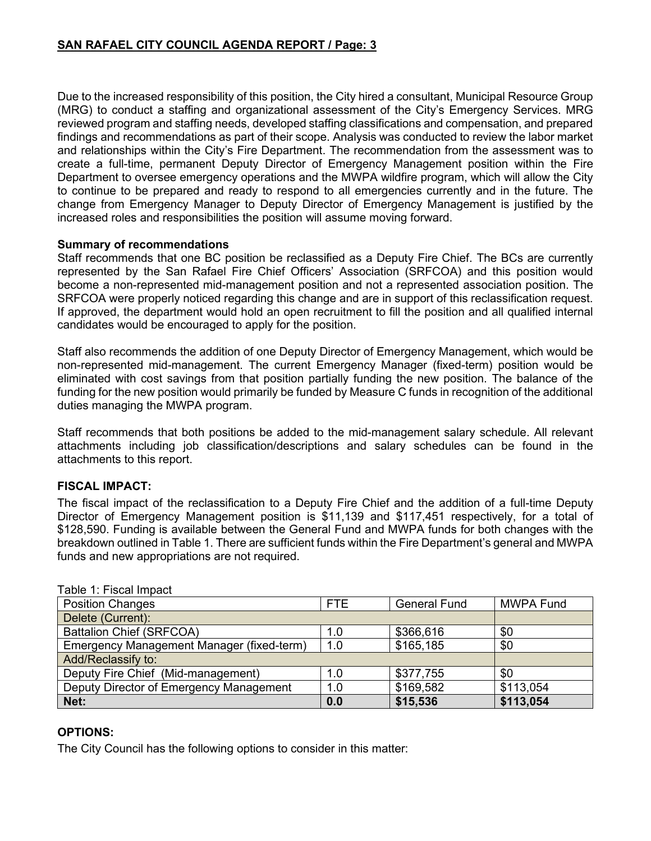Due to the increased responsibility of this position, the City hired a consultant, Municipal Resource Group (MRG) to conduct a staffing and organizational assessment of the City's Emergency Services. MRG reviewed program and staffing needs, developed staffing classifications and compensation, and prepared findings and recommendations as part of their scope. Analysis was conducted to review the labor market and relationships within the City's Fire Department. The recommendation from the assessment was to create a full-time, permanent Deputy Director of Emergency Management position within the Fire Department to oversee emergency operations and the MWPA wildfire program, which will allow the City to continue to be prepared and ready to respond to all emergencies currently and in the future. The change from Emergency Manager to Deputy Director of Emergency Management is justified by the increased roles and responsibilities the position will assume moving forward.

#### **Summary of recommendations**

Staff recommends that one BC position be reclassified as a Deputy Fire Chief. The BCs are currently represented by the San Rafael Fire Chief Officers' Association (SRFCOA) and this position would become a non-represented mid-management position and not a represented association position. The SRFCOA were properly noticed regarding this change and are in support of this reclassification request. If approved, the department would hold an open recruitment to fill the position and all qualified internal candidates would be encouraged to apply for the position.

Staff also recommends the addition of one Deputy Director of Emergency Management, which would be non-represented mid-management. The current Emergency Manager (fixed-term) position would be eliminated with cost savings from that position partially funding the new position. The balance of the funding for the new position would primarily be funded by Measure C funds in recognition of the additional duties managing the MWPA program.

Staff recommends that both positions be added to the mid-management salary schedule. All relevant attachments including job classification/descriptions and salary schedules can be found in the attachments to this report.

## **FISCAL IMPACT:**

The fiscal impact of the reclassification to a Deputy Fire Chief and the addition of a full-time Deputy Director of Emergency Management position is \$11,139 and \$117,451 respectively, for a total of \$128,590. Funding is available between the General Fund and MWPA funds for both changes with the breakdown outlined in Table 1. There are sufficient funds within the Fire Department's general and MWPA funds and new appropriations are not required.

| iaviv i. i iovai illipavi                 |            |                     |                  |  |  |  |
|-------------------------------------------|------------|---------------------|------------------|--|--|--|
| <b>Position Changes</b>                   | <b>FTE</b> | <b>General Fund</b> | <b>MWPA Fund</b> |  |  |  |
| Delete (Current):                         |            |                     |                  |  |  |  |
| <b>Battalion Chief (SRFCOA)</b>           | 1.0        | \$366,616           | \$0              |  |  |  |
| Emergency Management Manager (fixed-term) | 1.0        | \$165,185           | \$0              |  |  |  |
| Add/Reclassify to:                        |            |                     |                  |  |  |  |
| Deputy Fire Chief (Mid-management)        | 1.0        | \$377,755           | \$0              |  |  |  |
| Deputy Director of Emergency Management   | 1.0        | \$169,582           | \$113,054        |  |  |  |
| Net:                                      | 0.0        | \$15,536            | \$113,054        |  |  |  |

Table 1: Fiscal Impact

#### **OPTIONS:**

The City Council has the following options to consider in this matter: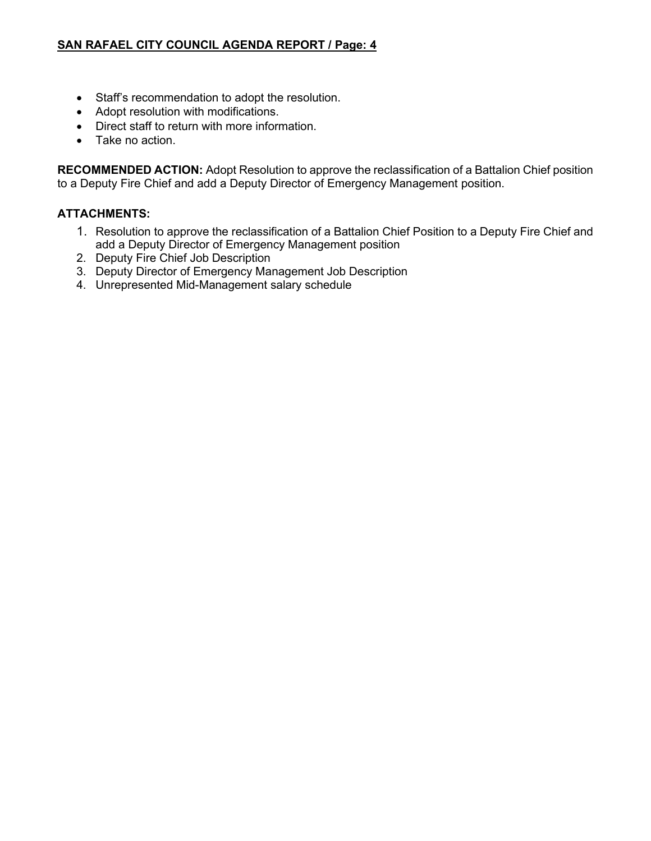- Staff's recommendation to adopt the resolution.
- Adopt resolution with modifications.
- Direct staff to return with more information.
- Take no action.

**RECOMMENDED ACTION:** Adopt Resolution to approve the reclassification of a Battalion Chief position to a Deputy Fire Chief and add a Deputy Director of Emergency Management position.

## **ATTACHMENTS:**

- 1. Resolution to approve the reclassification of a Battalion Chief Position to a Deputy Fire Chief and add a Deputy Director of Emergency Management position
- 2. Deputy Fire Chief Job Description
- 3. Deputy Director of Emergency Management Job Description
- 4. Unrepresented Mid-Management salary schedule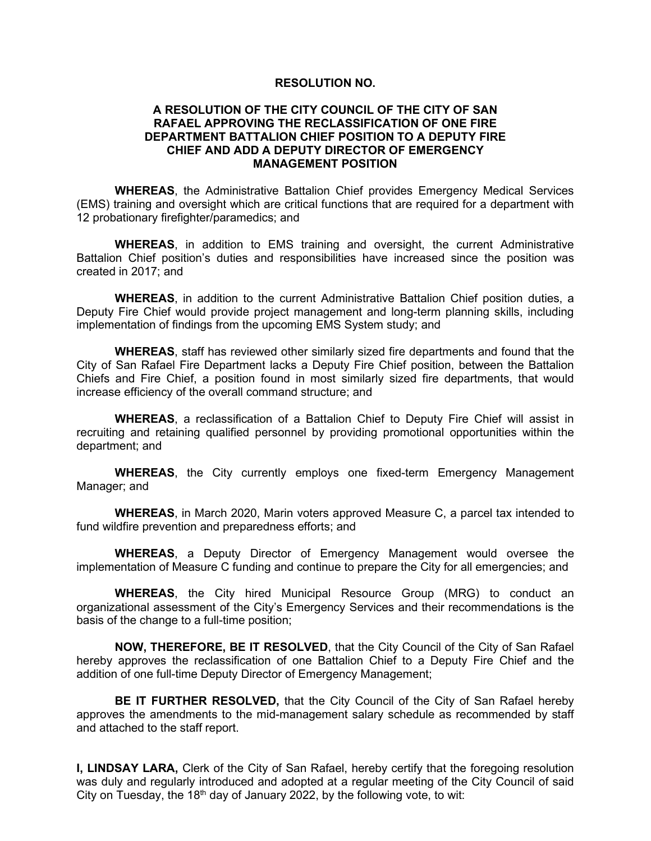#### **RESOLUTION NO.**

#### **A RESOLUTION OF THE CITY COUNCIL OF THE CITY OF SAN RAFAEL APPROVING THE RECLASSIFICATION OF ONE FIRE DEPARTMENT BATTALION CHIEF POSITION TO A DEPUTY FIRE CHIEF AND ADD A DEPUTY DIRECTOR OF EMERGENCY MANAGEMENT POSITION**

**WHEREAS**, the Administrative Battalion Chief provides Emergency Medical Services (EMS) training and oversight which are critical functions that are required for a department with 12 probationary firefighter/paramedics; and

**WHEREAS**, in addition to EMS training and oversight, the current Administrative Battalion Chief position's duties and responsibilities have increased since the position was created in 2017; and

**WHEREAS**, in addition to the current Administrative Battalion Chief position duties, a Deputy Fire Chief would provide project management and long-term planning skills, including implementation of findings from the upcoming EMS System study; and

**WHEREAS**, staff has reviewed other similarly sized fire departments and found that the City of San Rafael Fire Department lacks a Deputy Fire Chief position, between the Battalion Chiefs and Fire Chief, a position found in most similarly sized fire departments, that would increase efficiency of the overall command structure; and

**WHEREAS**, a reclassification of a Battalion Chief to Deputy Fire Chief will assist in recruiting and retaining qualified personnel by providing promotional opportunities within the department; and

**WHEREAS**, the City currently employs one fixed-term Emergency Management Manager; and

**WHEREAS**, in March 2020, Marin voters approved Measure C, a parcel tax intended to fund wildfire prevention and preparedness efforts; and

**WHEREAS**, a Deputy Director of Emergency Management would oversee the implementation of Measure C funding and continue to prepare the City for all emergencies; and

**WHEREAS**, the City hired Municipal Resource Group (MRG) to conduct an organizational assessment of the City's Emergency Services and their recommendations is the basis of the change to a full-time position;

**NOW, THEREFORE, BE IT RESOLVED**, that the City Council of the City of San Rafael hereby approves the reclassification of one Battalion Chief to a Deputy Fire Chief and the addition of one full-time Deputy Director of Emergency Management;

**BE IT FURTHER RESOLVED,** that the City Council of the City of San Rafael hereby approves the amendments to the mid-management salary schedule as recommended by staff and attached to the staff report.

**I, LINDSAY LARA,** Clerk of the City of San Rafael, hereby certify that the foregoing resolution was duly and regularly introduced and adopted at a regular meeting of the City Council of said City on Tuesday, the 18<sup>th</sup> day of January 2022, by the following vote, to wit: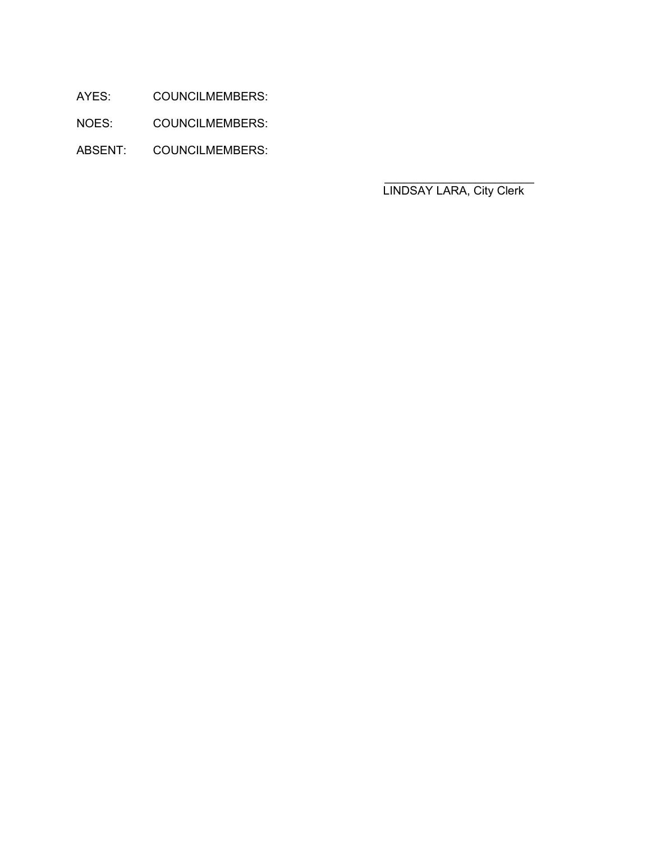AYES: COUNCILMEMBERS:

NOES: COUNCILMEMBERS:

ABSENT: COUNCILMEMBERS:

LINDSAY LARA, City Clerk

 $\mathcal{L}_\text{max} = \frac{1}{2} \sum_{i=1}^n \frac{1}{2} \sum_{i=1}^n \frac{1}{2} \sum_{i=1}^n \frac{1}{2} \sum_{i=1}^n \frac{1}{2} \sum_{i=1}^n \frac{1}{2} \sum_{i=1}^n \frac{1}{2} \sum_{i=1}^n \frac{1}{2} \sum_{i=1}^n \frac{1}{2} \sum_{i=1}^n \frac{1}{2} \sum_{i=1}^n \frac{1}{2} \sum_{i=1}^n \frac{1}{2} \sum_{i=1}^n \frac{1}{2} \sum_{i=1}^n$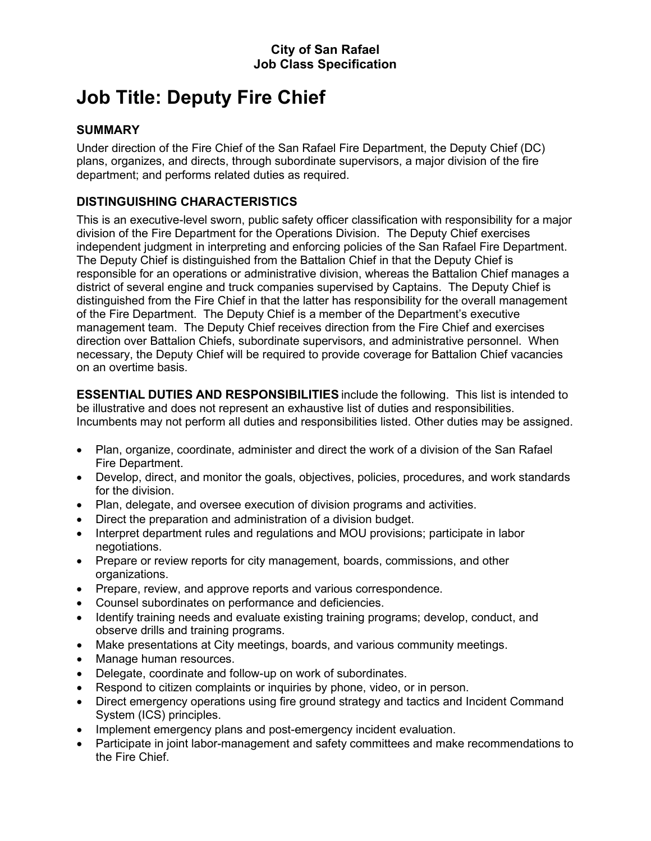# **Job Title: Deputy Fire Chief**

# **SUMMARY**

Under direction of the Fire Chief of the San Rafael Fire Department, the Deputy Chief (DC) plans, organizes, and directs, through subordinate supervisors, a major division of the fire department; and performs related duties as required.

# **DISTINGUISHING CHARACTERISTICS**

This is an executive-level sworn, public safety officer classification with responsibility for a major division of the Fire Department for the Operations Division. The Deputy Chief exercises independent judgment in interpreting and enforcing policies of the San Rafael Fire Department. The Deputy Chief is distinguished from the Battalion Chief in that the Deputy Chief is responsible for an operations or administrative division, whereas the Battalion Chief manages a district of several engine and truck companies supervised by Captains. The Deputy Chief is distinguished from the Fire Chief in that the latter has responsibility for the overall management of the Fire Department. The Deputy Chief is a member of the Department's executive management team. The Deputy Chief receives direction from the Fire Chief and exercises direction over Battalion Chiefs, subordinate supervisors, and administrative personnel. When necessary, the Deputy Chief will be required to provide coverage for Battalion Chief vacancies on an overtime basis.

**ESSENTIAL DUTIES AND RESPONSIBILITIES** include the following. This list is intended to be illustrative and does not represent an exhaustive list of duties and responsibilities. Incumbents may not perform all duties and responsibilities listed. Other duties may be assigned.

- Plan, organize, coordinate, administer and direct the work of a division of the San Rafael Fire Department.
- Develop, direct, and monitor the goals, objectives, policies, procedures, and work standards for the division.
- Plan, delegate, and oversee execution of division programs and activities.
- Direct the preparation and administration of a division budget.
- Interpret department rules and regulations and MOU provisions; participate in labor negotiations.
- Prepare or review reports for city management, boards, commissions, and other organizations.
- Prepare, review, and approve reports and various correspondence.
- Counsel subordinates on performance and deficiencies.
- Identify training needs and evaluate existing training programs; develop, conduct, and observe drills and training programs.
- Make presentations at City meetings, boards, and various community meetings.
- Manage human resources.
- Delegate, coordinate and follow-up on work of subordinates.
- Respond to citizen complaints or inquiries by phone, video, or in person.
- Direct emergency operations using fire ground strategy and tactics and Incident Command System (ICS) principles.
- Implement emergency plans and post-emergency incident evaluation.
- Participate in joint labor-management and safety committees and make recommendations to the Fire Chief.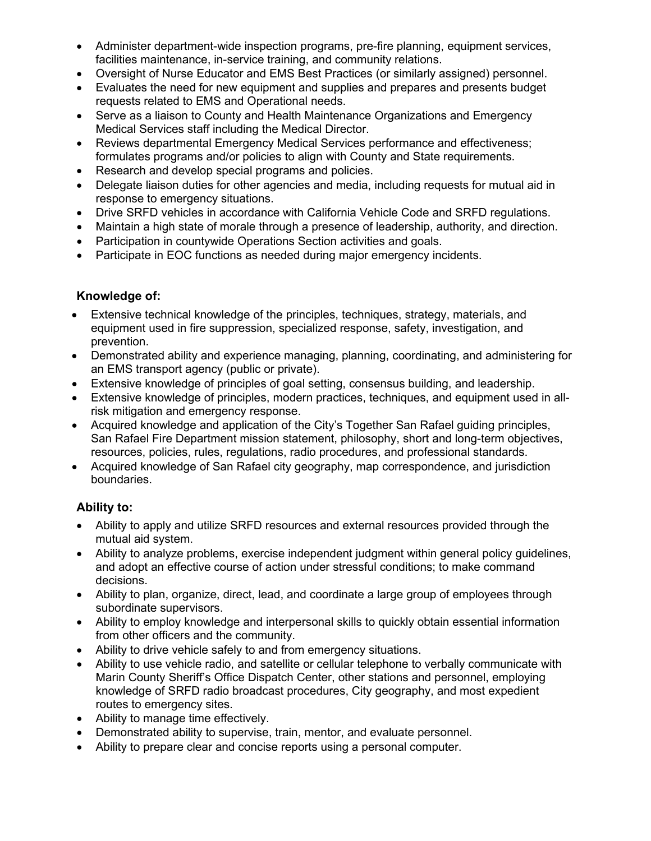- Administer department-wide inspection programs, pre-fire planning, equipment services, facilities maintenance, in-service training, and community relations.
- Oversight of Nurse Educator and EMS Best Practices (or similarly assigned) personnel.
- Evaluates the need for new equipment and supplies and prepares and presents budget requests related to EMS and Operational needs.
- Serve as a liaison to County and Health Maintenance Organizations and Emergency Medical Services staff including the Medical Director.
- Reviews departmental Emergency Medical Services performance and effectiveness; formulates programs and/or policies to align with County and State requirements.
- Research and develop special programs and policies.
- Delegate liaison duties for other agencies and media, including requests for mutual aid in response to emergency situations.
- Drive SRFD vehicles in accordance with California Vehicle Code and SRFD regulations.
- Maintain a high state of morale through a presence of leadership, authority, and direction.
- Participation in countywide Operations Section activities and goals.
- Participate in EOC functions as needed during major emergency incidents.

# **Knowledge of:**

- Extensive technical knowledge of the principles, techniques, strategy, materials, and equipment used in fire suppression, specialized response, safety, investigation, and prevention.
- Demonstrated ability and experience managing, planning, coordinating, and administering for an EMS transport agency (public or private).
- Extensive knowledge of principles of goal setting, consensus building, and leadership.
- Extensive knowledge of principles, modern practices, techniques, and equipment used in allrisk mitigation and emergency response.
- Acquired knowledge and application of the City's Together San Rafael guiding principles, San Rafael Fire Department mission statement, philosophy, short and long-term objectives, resources, policies, rules, regulations, radio procedures, and professional standards.
- Acquired knowledge of San Rafael city geography, map correspondence, and jurisdiction boundaries.

# **Ability to:**

- Ability to apply and utilize SRFD resources and external resources provided through the mutual aid system.
- Ability to analyze problems, exercise independent judgment within general policy guidelines, and adopt an effective course of action under stressful conditions; to make command decisions.
- Ability to plan, organize, direct, lead, and coordinate a large group of employees through subordinate supervisors.
- Ability to employ knowledge and interpersonal skills to quickly obtain essential information from other officers and the community.
- Ability to drive vehicle safely to and from emergency situations.
- Ability to use vehicle radio, and satellite or cellular telephone to verbally communicate with Marin County Sheriff's Office Dispatch Center, other stations and personnel, employing knowledge of SRFD radio broadcast procedures, City geography, and most expedient routes to emergency sites.
- Ability to manage time effectively.
- Demonstrated ability to supervise, train, mentor, and evaluate personnel.
- Ability to prepare clear and concise reports using a personal computer.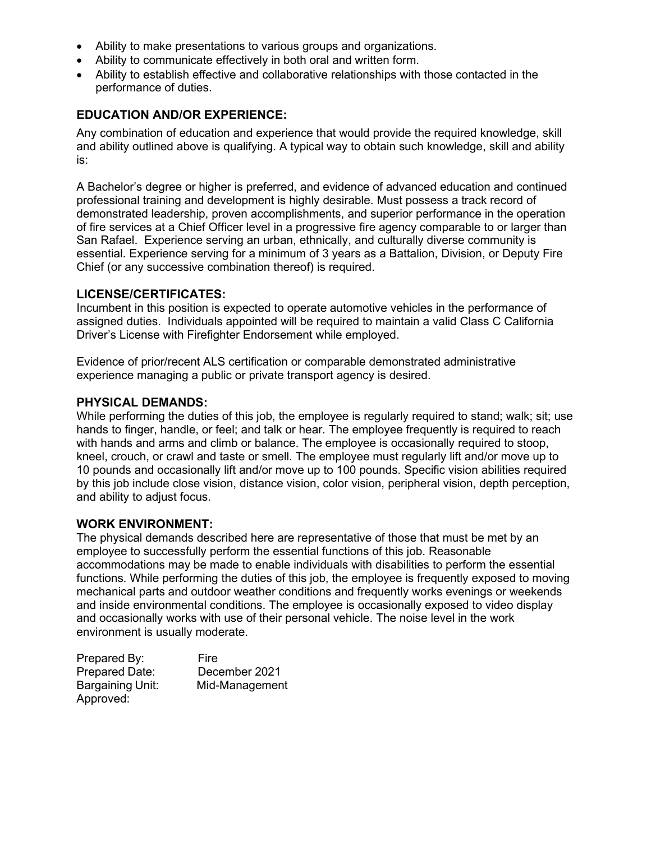- Ability to make presentations to various groups and organizations.
- Ability to communicate effectively in both oral and written form.
- Ability to establish effective and collaborative relationships with those contacted in the performance of duties.

#### **EDUCATION AND/OR EXPERIENCE:**

Any combination of education and experience that would provide the required knowledge, skill and ability outlined above is qualifying. A typical way to obtain such knowledge, skill and ability is:

A Bachelor's degree or higher is preferred, and evidence of advanced education and continued professional training and development is highly desirable. Must possess a track record of demonstrated leadership, proven accomplishments, and superior performance in the operation of fire services at a Chief Officer level in a progressive fire agency comparable to or larger than San Rafael. Experience serving an urban, ethnically, and culturally diverse community is essential. Experience serving for a minimum of 3 years as a Battalion, Division, or Deputy Fire Chief (or any successive combination thereof) is required.

#### **LICENSE/CERTIFICATES:**

Incumbent in this position is expected to operate automotive vehicles in the performance of assigned duties. Individuals appointed will be required to maintain a valid Class C California Driver's License with Firefighter Endorsement while employed.

Evidence of prior/recent ALS certification or comparable demonstrated administrative experience managing a public or private transport agency is desired.

#### **PHYSICAL DEMANDS:**

While performing the duties of this job, the employee is regularly required to stand; walk; sit; use hands to finger, handle, or feel; and talk or hear. The employee frequently is required to reach with hands and arms and climb or balance. The employee is occasionally required to stoop, kneel, crouch, or crawl and taste or smell. The employee must regularly lift and/or move up to 10 pounds and occasionally lift and/or move up to 100 pounds. Specific vision abilities required by this job include close vision, distance vision, color vision, peripheral vision, depth perception, and ability to adjust focus.

#### **WORK ENVIRONMENT:**

The physical demands described here are representative of those that must be met by an employee to successfully perform the essential functions of this job. Reasonable accommodations may be made to enable individuals with disabilities to perform the essential functions. While performing the duties of this job, the employee is frequently exposed to moving mechanical parts and outdoor weather conditions and frequently works evenings or weekends and inside environmental conditions. The employee is occasionally exposed to video display and occasionally works with use of their personal vehicle. The noise level in the work environment is usually moderate.

| Prepared By:          | Fire           |
|-----------------------|----------------|
| <b>Prepared Date:</b> | December 2021  |
| Bargaining Unit:      | Mid-Management |
| Approved:             |                |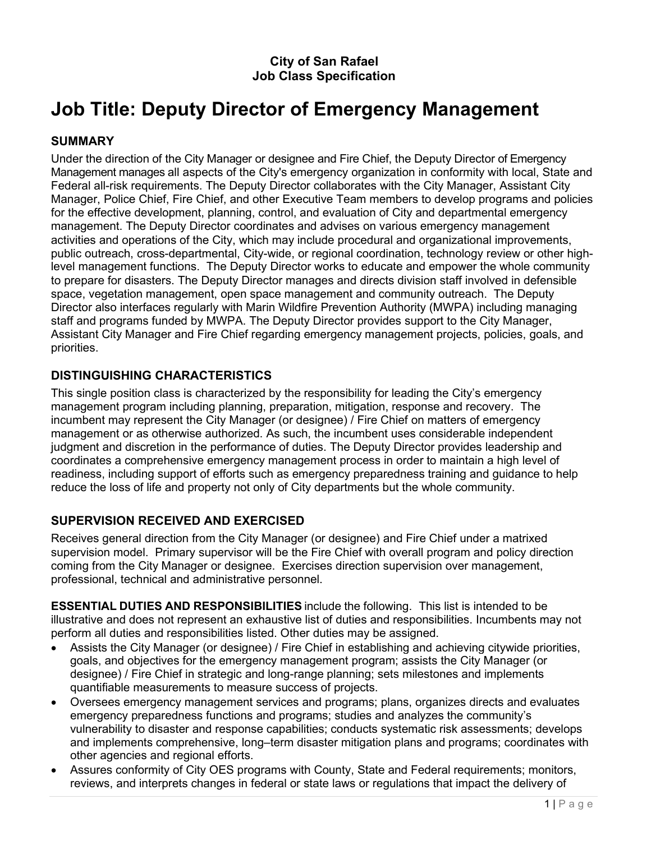# **City of San Rafael Job Class Specification**

# **Job Title: Deputy Director of Emergency Management**

#### **SUMMARY**

Under the direction of the City Manager or designee and Fire Chief, the Deputy Director of Emergency Management manages all aspects of the City's emergency organization in conformity with local, State and Federal all-risk requirements. The Deputy Director collaborates with the City Manager, Assistant City Manager, Police Chief, Fire Chief, and other Executive Team members to develop programs and policies for the effective development, planning, control, and evaluation of City and departmental emergency management. The Deputy Director coordinates and advises on various emergency management activities and operations of the City, which may include procedural and organizational improvements, public outreach, cross-departmental, City-wide, or regional coordination, technology review or other highlevel management functions. The Deputy Director works to educate and empower the whole community to prepare for disasters. The Deputy Director manages and directs division staff involved in defensible space, vegetation management, open space management and community outreach. The Deputy Director also interfaces regularly with Marin Wildfire Prevention Authority (MWPA) including managing staff and programs funded by MWPA. The Deputy Director provides support to the City Manager, Assistant City Manager and Fire Chief regarding emergency management projects, policies, goals, and priorities.

#### **DISTINGUISHING CHARACTERISTICS**

This single position class is characterized by the responsibility for leading the City's emergency management program including planning, preparation, mitigation, response and recovery. The incumbent may represent the City Manager (or designee) / Fire Chief on matters of emergency management or as otherwise authorized. As such, the incumbent uses considerable independent judgment and discretion in the performance of duties. The Deputy Director provides leadership and coordinates a comprehensive emergency management process in order to maintain a high level of readiness, including support of efforts such as emergency preparedness training and guidance to help reduce the loss of life and property not only of City departments but the whole community.

## **SUPERVISION RECEIVED AND EXERCISED**

Receives general direction from the City Manager (or designee) and Fire Chief under a matrixed supervision model. Primary supervisor will be the Fire Chief with overall program and policy direction coming from the City Manager or designee. Exercises direction supervision over management, professional, technical and administrative personnel.

**ESSENTIAL DUTIES AND RESPONSIBILITIES** include the following. This list is intended to be illustrative and does not represent an exhaustive list of duties and responsibilities. Incumbents may not perform all duties and responsibilities listed. Other duties may be assigned.

- Assists the City Manager (or designee) / Fire Chief in establishing and achieving citywide priorities, goals, and objectives for the emergency management program; assists the City Manager (or designee) / Fire Chief in strategic and long-range planning; sets milestones and implements quantifiable measurements to measure success of projects.
- Oversees emergency management services and programs; plans, organizes directs and evaluates emergency preparedness functions and programs; studies and analyzes the community's vulnerability to disaster and response capabilities; conducts systematic risk assessments; develops and implements comprehensive, long–term disaster mitigation plans and programs; coordinates with other agencies and regional efforts.
- Assures conformity of City OES programs with County, State and Federal requirements; monitors, reviews, and interprets changes in federal or state laws or regulations that impact the delivery of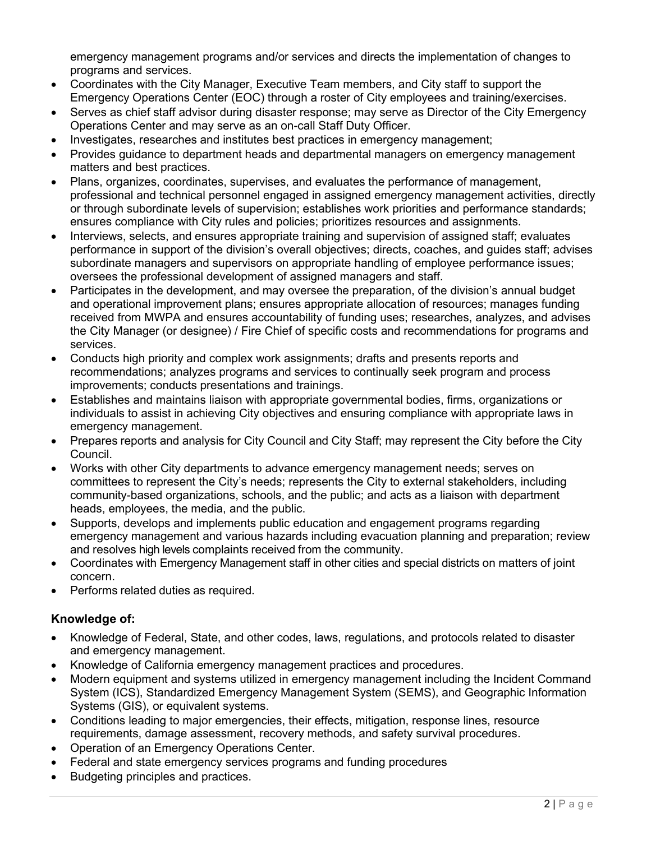emergency management programs and/or services and directs the implementation of changes to programs and services.

- Coordinates with the City Manager, Executive Team members, and City staff to support the Emergency Operations Center (EOC) through a roster of City employees and training/exercises.
- Serves as chief staff advisor during disaster response; may serve as Director of the City Emergency Operations Center and may serve as an on-call Staff Duty Officer.
- Investigates, researches and institutes best practices in emergency management;
- Provides guidance to department heads and departmental managers on emergency management matters and best practices.
- Plans, organizes, coordinates, supervises, and evaluates the performance of management, professional and technical personnel engaged in assigned emergency management activities, directly or through subordinate levels of supervision; establishes work priorities and performance standards; ensures compliance with City rules and policies; prioritizes resources and assignments.
- Interviews, selects, and ensures appropriate training and supervision of assigned staff; evaluates performance in support of the division's overall objectives; directs, coaches, and guides staff; advises subordinate managers and supervisors on appropriate handling of employee performance issues; oversees the professional development of assigned managers and staff.
- Participates in the development, and may oversee the preparation, of the division's annual budget and operational improvement plans; ensures appropriate allocation of resources; manages funding received from MWPA and ensures accountability of funding uses; researches, analyzes, and advises the City Manager (or designee) / Fire Chief of specific costs and recommendations for programs and services.
- Conducts high priority and complex work assignments; drafts and presents reports and recommendations; analyzes programs and services to continually seek program and process improvements; conducts presentations and trainings.
- Establishes and maintains liaison with appropriate governmental bodies, firms, organizations or individuals to assist in achieving City objectives and ensuring compliance with appropriate laws in emergency management.
- Prepares reports and analysis for City Council and City Staff; may represent the City before the City Council.
- Works with other City departments to advance emergency management needs; serves on committees to represent the City's needs; represents the City to external stakeholders, including community-based organizations, schools, and the public; and acts as a liaison with department heads, employees, the media, and the public.
- Supports, develops and implements public education and engagement programs regarding emergency management and various hazards including evacuation planning and preparation; review and resolves high levels complaints received from the community.
- Coordinates with Emergency Management staff in other cities and special districts on matters of joint concern.
- Performs related duties as required.

## **Knowledge of:**

- Knowledge of Federal, State, and other codes, laws, regulations, and protocols related to disaster and emergency management.
- Knowledge of California emergency management practices and procedures.
- Modern equipment and systems utilized in emergency management including the Incident Command System (ICS), Standardized Emergency Management System (SEMS), and Geographic Information Systems (GIS), or equivalent systems.
- Conditions leading to major emergencies, their effects, mitigation, response lines, resource requirements, damage assessment, recovery methods, and safety survival procedures.
- Operation of an Emergency Operations Center.
- Federal and state emergency services programs and funding procedures
- Budgeting principles and practices.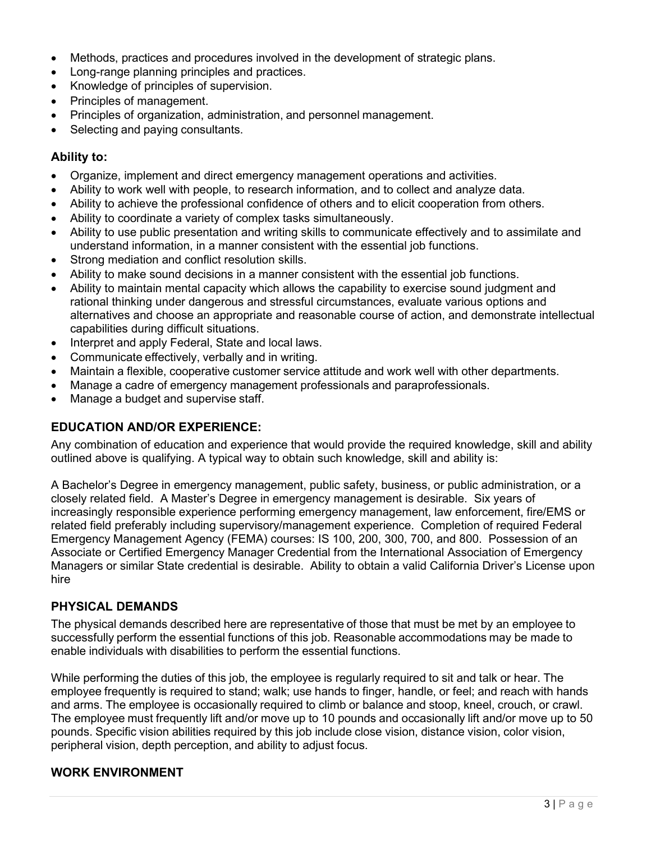- Methods, practices and procedures involved in the development of strategic plans.
- Long-range planning principles and practices.
- Knowledge of principles of supervision.
- Principles of management.
- Principles of organization, administration, and personnel management.
- Selecting and paying consultants.

#### **Ability to:**

- Organize, implement and direct emergency management operations and activities.
- Ability to work well with people, to research information, and to collect and analyze data.
- Ability to achieve the professional confidence of others and to elicit cooperation from others.
- Ability to coordinate a variety of complex tasks simultaneously.
- Ability to use public presentation and writing skills to communicate effectively and to assimilate and understand information, in a manner consistent with the essential job functions.
- Strong mediation and conflict resolution skills.
- Ability to make sound decisions in a manner consistent with the essential job functions.
- Ability to maintain mental capacity which allows the capability to exercise sound judgment and rational thinking under dangerous and stressful circumstances, evaluate various options and alternatives and choose an appropriate and reasonable course of action, and demonstrate intellectual capabilities during difficult situations.
- Interpret and apply Federal, State and local laws.
- Communicate effectively, verbally and in writing.
- Maintain a flexible, cooperative customer service attitude and work well with other departments.
- Manage a cadre of emergency management professionals and paraprofessionals.
- Manage a budget and supervise staff.

## **EDUCATION AND/OR EXPERIENCE:**

Any combination of education and experience that would provide the required knowledge, skill and ability outlined above is qualifying. A typical way to obtain such knowledge, skill and ability is:

A Bachelor's Degree in emergency management, public safety, business, or public administration, or a closely related field. A Master's Degree in emergency management is desirable. Six years of increasingly responsible experience performing emergency management, law enforcement, fire/EMS or related field preferably including supervisory/management experience. Completion of required Federal Emergency Management Agency (FEMA) courses: IS 100, 200, 300, 700, and 800. Possession of an Associate or Certified Emergency Manager Credential from the International Association of Emergency Managers or similar State credential is desirable. Ability to obtain a valid California Driver's License upon hire

## **PHYSICAL DEMANDS**

The physical demands described here are representative of those that must be met by an employee to successfully perform the essential functions of this job. Reasonable accommodations may be made to enable individuals with disabilities to perform the essential functions.

While performing the duties of this job, the employee is regularly required to sit and talk or hear. The employee frequently is required to stand; walk; use hands to finger, handle, or feel; and reach with hands and arms. The employee is occasionally required to climb or balance and stoop, kneel, crouch, or crawl. The employee must frequently lift and/or move up to 10 pounds and occasionally lift and/or move up to 50 pounds. Specific vision abilities required by this job include close vision, distance vision, color vision, peripheral vision, depth perception, and ability to adjust focus.

## **WORK ENVIRONMENT**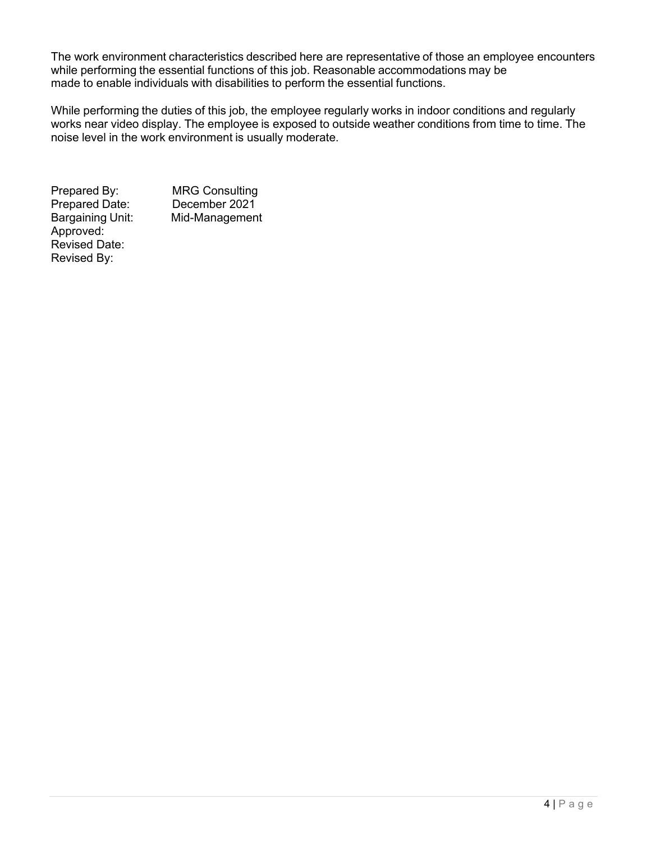The work environment characteristics described here are representative of those an employee encounters while performing the essential functions of this job. Reasonable accommodations may be made to enable individuals with disabilities to perform the essential functions.

While performing the duties of this job, the employee regularly works in indoor conditions and regularly works near video display. The employee is exposed to outside weather conditions from time to time. The noise level in the work environment is usually moderate.

Bargaining Unit: Approved: Revised Date: Revised By:

Prepared By: MRG Consulting<br>Prepared Date: December 2021 Prepared Date: December 2021<br>Bargaining Unit: Mid-Management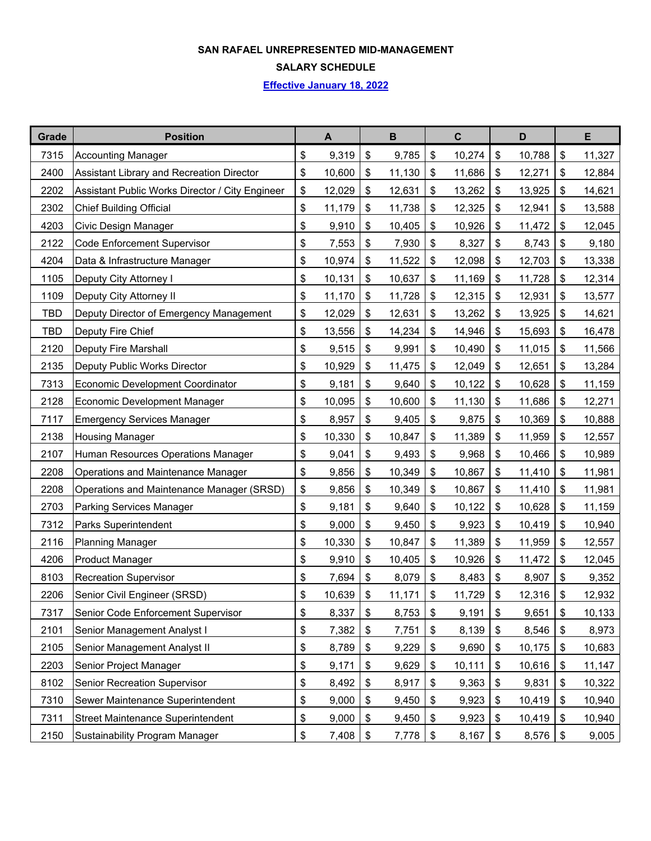#### **SAN RAFAEL UNREPRESENTED MID-MANAGEMENT**

**SALARY SCHEDULE**

**Effective January 18, 2022**

| Grade      | <b>Position</b>                                 |                   | $\blacktriangle$ |       | $\mathbf B$ |               | $\mathbf c$ | D            |                              | E      |
|------------|-------------------------------------------------|-------------------|------------------|-------|-------------|---------------|-------------|--------------|------------------------------|--------|
| 7315       | <b>Accounting Manager</b>                       | \$                | 9,319            | \$    | 9,785       | $\frac{1}{2}$ | 10,274      | \$<br>10,788 | $\boldsymbol{\hat{\varphi}}$ | 11,327 |
| 2400       | Assistant Library and Recreation Director       | \$                | 10,600           | \$    | 11,130      | \$            | 11,686      | \$<br>12,271 | \$                           | 12,884 |
| 2202       | Assistant Public Works Director / City Engineer | \$                | 12,029           | \$    | 12,631      | \$            | 13,262      | \$<br>13,925 | \$                           | 14,621 |
| 2302       | <b>Chief Building Official</b>                  | \$                | 11,179           | \$    | 11,738      | \$            | 12,325      | \$<br>12,941 | \$                           | 13,588 |
| 4203       | Civic Design Manager                            | \$                | 9,910            | \$    | 10,405      | \$            | 10,926      | \$<br>11,472 | $\boldsymbol{\hat{\varphi}}$ | 12,045 |
| 2122       | <b>Code Enforcement Supervisor</b>              | \$                | 7,553            | \$    | 7,930       | \$            | 8,327       | \$<br>8,743  | \$                           | 9,180  |
| 4204       | Data & Infrastructure Manager                   | \$                | 10,974           | \$    | 11,522      | \$            | 12,098      | \$<br>12,703 | \$                           | 13,338 |
| 1105       | Deputy City Attorney I                          | \$                | 10,131           | \$    | 10,637      | \$            | 11,169      | \$<br>11,728 | \$                           | 12,314 |
| 1109       | Deputy City Attorney II                         | \$                | 11,170           | \$    | 11,728      | \$            | 12,315      | \$<br>12,931 | \$                           | 13,577 |
| <b>TBD</b> | Deputy Director of Emergency Management         | \$                | 12,029           | \$    | 12,631      | \$            | 13,262      | \$<br>13,925 | \$                           | 14,621 |
| <b>TBD</b> | Deputy Fire Chief                               | \$                | 13,556           | \$    | 14,234      | \$            | 14,946      | \$<br>15,693 | \$                           | 16,478 |
| 2120       | Deputy Fire Marshall                            | \$                | 9,515            | \$    | 9,991       | \$            | 10,490      | \$<br>11,015 | \$                           | 11,566 |
| 2135       | Deputy Public Works Director                    | \$                | 10,929           | \$    | 11,475      | \$            | 12,049      | \$<br>12,651 | \$                           | 13,284 |
| 7313       | <b>Economic Development Coordinator</b>         | \$                | 9,181            | \$    | 9,640       | \$            | 10,122      | \$<br>10,628 | \$                           | 11,159 |
| 2128       | <b>Economic Development Manager</b>             | \$                | 10,095           | \$    | 10,600      | \$            | 11,130      | \$<br>11,686 | \$                           | 12,271 |
| 7117       | <b>Emergency Services Manager</b>               | \$                | 8,957            | \$    | 9,405       | \$            | 9,875       | \$<br>10,369 | \$                           | 10,888 |
| 2138       | <b>Housing Manager</b>                          | \$                | 10,330           | \$    | 10,847      | \$            | 11,389      | \$<br>11,959 | \$                           | 12,557 |
| 2107       | Human Resources Operations Manager              | \$                | 9,041            | \$    | 9,493       | \$            | 9,968       | \$<br>10,466 | \$                           | 10,989 |
| 2208       | Operations and Maintenance Manager              | \$                | 9,856            | \$    | 10,349      | \$            | 10,867      | \$<br>11,410 | \$                           | 11,981 |
| 2208       | Operations and Maintenance Manager (SRSD)       | \$                | 9,856            | \$    | 10,349      | \$            | 10,867      | \$<br>11,410 | \$                           | 11,981 |
| 2703       | Parking Services Manager                        | \$                | 9,181            | $\$\$ | 9,640       | \$            | 10,122      | \$<br>10,628 | $\boldsymbol{\hat{\varphi}}$ | 11,159 |
| 7312       | Parks Superintendent                            | \$                | 9,000            | \$    | 9,450       | \$            | 9,923       | \$<br>10,419 | $\boldsymbol{\hat{\varphi}}$ | 10,940 |
| 2116       | <b>Planning Manager</b>                         | \$                | 10,330           | \$    | 10,847      | \$            | 11,389      | \$<br>11,959 | \$                           | 12,557 |
| 4206       | <b>Product Manager</b>                          | \$                | 9,910            | \$    | 10,405      | \$            | 10,926      | \$<br>11,472 | \$                           | 12,045 |
| 8103       | <b>Recreation Supervisor</b>                    | \$                | 7,694            | $\$\$ | 8,079       | \$            | 8,483       | \$<br>8,907  | \$                           | 9,352  |
| 2206       | Senior Civil Engineer (SRSD)                    | \$                | 10,639           | \$    | 11,171      | \$            | 11,729      | \$<br>12,316 | \$                           | 12,932 |
| 7317       | Senior Code Enforcement Supervisor              | \$                | 8,337            | $\,$  | 8,753       | \$            | 9,191       | \$<br>9,651  | \$                           | 10,133 |
| 2101       | Senior Management Analyst I                     | \$                | 7,382            | \$    | 7,751       | \$            | 8,139       | \$<br>8,546  | \$                           | 8,973  |
| 2105       | Senior Management Analyst II                    | \$                | 8,789            | $\,$  | 9,229       | $\,$          | 9,690       | \$<br>10,175 | \$                           | 10,683 |
| 2203       | Senior Project Manager                          | \$                | 9,171            | $\,$  | 9,629       | \$            | 10,111      | \$<br>10,616 | $\boldsymbol{\mathsf{\$}}$   | 11,147 |
| 8102       | <b>Senior Recreation Supervisor</b>             | \$                | 8,492            | \$    | 8,917       | \$            | 9,363       | \$<br>9,831  | \$                           | 10,322 |
| 7310       | Sewer Maintenance Superintendent                | \$                | 9,000            | \$    | 9,450       | \$            | 9,923       | \$<br>10,419 | \$                           | 10,940 |
| 7311       | <b>Street Maintenance Superintendent</b>        | \$                | 9,000            | \$    | 9,450       | \$            | 9,923       | \$<br>10,419 | \$                           | 10,940 |
| 2150       | <b>Sustainability Program Manager</b>           | $\boldsymbol{\$}$ | 7,408            | \$    | 7,778       | \$            | 8,167       | \$<br>8,576  | $\boldsymbol{\hat{\varphi}}$ | 9,005  |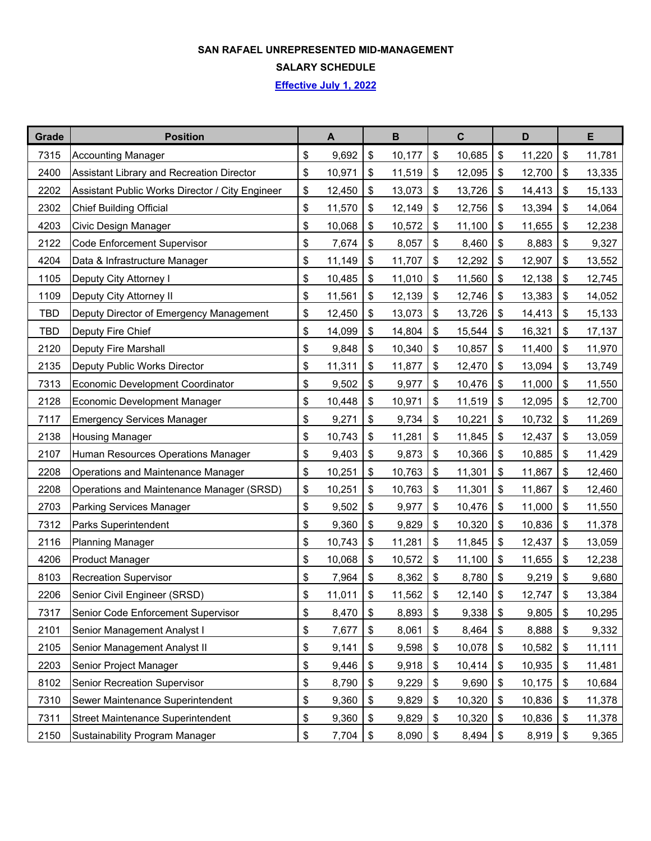#### **SAN RAFAEL UNREPRESENTED MID-MANAGEMENT**

**SALARY SCHEDULE**

**Effective July 1, 2022**

| Grade      | <b>Position</b>                                 | A            | $\mathbf B$  | $\mathbf C$  | D            |                              | E      |
|------------|-------------------------------------------------|--------------|--------------|--------------|--------------|------------------------------|--------|
| 7315       | <b>Accounting Manager</b>                       | \$<br>9,692  | \$<br>10,177 | \$<br>10,685 | \$<br>11,220 | \$                           | 11,781 |
| 2400       | Assistant Library and Recreation Director       | \$<br>10,971 | \$<br>11,519 | \$<br>12,095 | \$<br>12,700 | \$                           | 13,335 |
| 2202       | Assistant Public Works Director / City Engineer | \$<br>12,450 | \$<br>13,073 | \$<br>13,726 | \$<br>14,413 | \$                           | 15,133 |
| 2302       | <b>Chief Building Official</b>                  | \$<br>11,570 | \$<br>12,149 | \$<br>12,756 | \$<br>13,394 | $\sqrt[6]{2}$                | 14,064 |
| 4203       | Civic Design Manager                            | \$<br>10,068 | \$<br>10,572 | \$<br>11,100 | \$<br>11,655 | \$                           | 12,238 |
| 2122       | <b>Code Enforcement Supervisor</b>              | \$<br>7,674  | \$<br>8,057  | \$<br>8,460  | \$<br>8,883  | \$                           | 9,327  |
| 4204       | Data & Infrastructure Manager                   | \$<br>11,149 | \$<br>11,707 | \$<br>12,292 | \$<br>12,907 | \$                           | 13,552 |
| 1105       | Deputy City Attorney I                          | \$<br>10,485 | \$<br>11,010 | \$<br>11,560 | \$<br>12,138 | \$                           | 12,745 |
| 1109       | Deputy City Attorney II                         | \$<br>11,561 | \$<br>12,139 | \$<br>12,746 | \$<br>13,383 | \$                           | 14,052 |
| TBD        | Deputy Director of Emergency Management         | \$<br>12,450 | \$<br>13,073 | \$<br>13,726 | \$<br>14,413 | \$                           | 15,133 |
| <b>TBD</b> | Deputy Fire Chief                               | \$<br>14,099 | \$<br>14,804 | \$<br>15,544 | \$<br>16,321 | \$                           | 17,137 |
| 2120       | Deputy Fire Marshall                            | \$<br>9,848  | \$<br>10,340 | \$<br>10,857 | \$<br>11,400 | $\boldsymbol{\hat{\varphi}}$ | 11,970 |
| 2135       | Deputy Public Works Director                    | \$<br>11,311 | \$<br>11,877 | \$<br>12,470 | \$<br>13,094 | \$                           | 13,749 |
| 7313       | <b>Economic Development Coordinator</b>         | \$<br>9,502  | \$<br>9,977  | \$<br>10,476 | \$<br>11,000 | \$                           | 11,550 |
| 2128       | Economic Development Manager                    | \$<br>10,448 | \$<br>10,971 | \$<br>11,519 | \$<br>12,095 | \$                           | 12,700 |
| 7117       | <b>Emergency Services Manager</b>               | \$<br>9,271  | \$<br>9,734  | \$<br>10,221 | \$<br>10,732 | $\boldsymbol{\hat{\varphi}}$ | 11,269 |
| 2138       | <b>Housing Manager</b>                          | \$<br>10,743 | \$<br>11,281 | \$<br>11,845 | \$<br>12,437 | \$                           | 13,059 |
| 2107       | Human Resources Operations Manager              | \$<br>9,403  | \$<br>9,873  | \$<br>10,366 | \$<br>10,885 | \$                           | 11,429 |
| 2208       | Operations and Maintenance Manager              | \$<br>10,251 | \$<br>10,763 | \$<br>11,301 | \$<br>11,867 | \$                           | 12,460 |
| 2208       | Operations and Maintenance Manager (SRSD)       | \$<br>10,251 | \$<br>10,763 | \$<br>11,301 | \$<br>11,867 | \$                           | 12,460 |
| 2703       | <b>Parking Services Manager</b>                 | \$<br>9,502  | \$<br>9,977  | \$<br>10,476 | \$<br>11,000 | \$                           | 11,550 |
| 7312       | Parks Superintendent                            | \$<br>9,360  | \$<br>9,829  | \$<br>10,320 | \$<br>10,836 | \$                           | 11,378 |
| 2116       | <b>Planning Manager</b>                         | \$<br>10,743 | \$<br>11,281 | \$<br>11,845 | \$<br>12,437 | \$                           | 13,059 |
| 4206       | <b>Product Manager</b>                          | \$<br>10,068 | \$<br>10,572 | \$<br>11,100 | \$<br>11,655 | \$                           | 12,238 |
| 8103       | <b>Recreation Supervisor</b>                    | \$<br>7,964  | \$<br>8,362  | \$<br>8,780  | \$<br>9,219  | \$                           | 9,680  |
| 2206       | Senior Civil Engineer (SRSD)                    | \$<br>11,011 | \$<br>11,562 | \$<br>12,140 | \$<br>12,747 | \$                           | 13,384 |
| 7317       | Senior Code Enforcement Supervisor              | \$<br>8,470  | \$<br>8,893  | \$<br>9,338  | \$<br>9,805  | $\boldsymbol{\mathsf{\$}}$   | 10,295 |
| 2101       | Senior Management Analyst I                     | \$<br>7,677  | \$<br>8,061  | \$<br>8,464  | \$<br>8,888  | \$                           | 9,332  |
| 2105       | Senior Management Analyst II                    | \$<br>9,141  | \$<br>9,598  | \$<br>10,078 | \$<br>10,582 | \$                           | 11,111 |
| 2203       | Senior Project Manager                          | \$<br>9,446  | \$<br>9,918  | \$<br>10,414 | \$<br>10,935 | \$                           | 11,481 |
| 8102       | <b>Senior Recreation Supervisor</b>             | \$<br>8,790  | \$<br>9,229  | \$<br>9,690  | \$<br>10,175 | \$                           | 10,684 |
| 7310       | Sewer Maintenance Superintendent                | \$<br>9,360  | \$<br>9,829  | \$<br>10,320 | \$<br>10,836 | \$                           | 11,378 |
| 7311       | <b>Street Maintenance Superintendent</b>        | \$<br>9,360  | \$<br>9,829  | \$<br>10,320 | \$<br>10,836 | \$                           | 11,378 |
| 2150       | Sustainability Program Manager                  | \$<br>7,704  | \$<br>8,090  | \$<br>8,494  | \$<br>8,919  | \$                           | 9,365  |